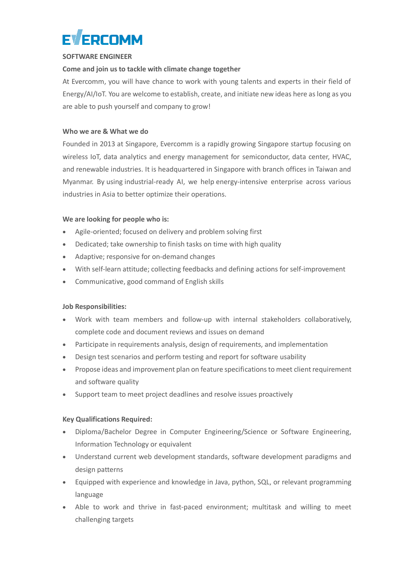

### **SOFTWARE ENGINEER**

# **Come and join us to tackle with climate change together**

At Evercomm, you will have chance to work with young talents and experts in their field of Energy/AI/IoT. You are welcome to establish, create, and initiate new ideas here as long as you are able to push yourself and company to grow!

## **Who we are & What we do**

Founded in 2013 at Singapore, Evercomm is a rapidly growing Singapore startup focusing on wireless IoT, data analytics and energy management for semiconductor, data center, HVAC, and renewable industries. It is headquartered in Singapore with branch offices in Taiwan and Myanmar. By using industrial-ready AI, we help energy-intensive enterprise across various industries in Asia to better optimize their operations.

## **We are looking for people who is:**

- Agile-oriented; focused on delivery and problem solving first
- Dedicated; take ownership to finish tasks on time with high quality
- Adaptive; responsive for on-demand changes
- With self-learn attitude; collecting feedbacks and defining actions for self-improvement
- Communicative, good command of English skills

## **Job Responsibilities:**

- Work with team members and follow-up with internal stakeholders collaboratively, complete code and document reviews and issues on demand
- Participate in requirements analysis, design of requirements, and implementation
- Design test scenarios and perform testing and report for software usability
- Propose ideas and improvement plan on feature specifications to meet client requirement and software quality
- Support team to meet project deadlines and resolve issues proactively

## **Key Qualifications Required:**

- Diploma/Bachelor Degree in Computer Engineering/Science or Software Engineering, Information Technology or equivalent
- Understand current web development standards, software development paradigms and design patterns
- Equipped with experience and knowledge in Java, python, SQL, or relevant programming language
- Able to work and thrive in fast-paced environment; multitask and willing to meet challenging targets